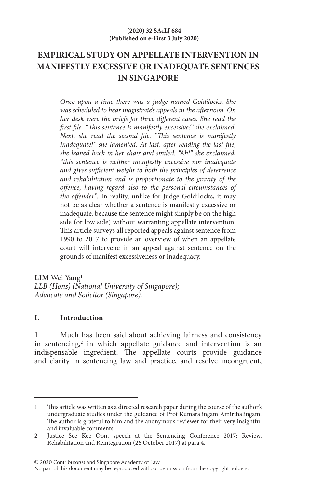# **EMPIRICAL STUDY ON APPELLATE INTERVENTION IN MANIFESTLY EXCESSIVE OR INADEQUATE SENTENCES IN SINGAPORE**

*Once upon a time there was a judge named Goldilocks. She was scheduled to hear magistrate's appeals in the afternoon. On her desk were the briefs for three different cases. She read the first file. "This sentence is manifestly excessive!" she exclaimed. Next, she read the second file. "This sentence is manifestly inadequate!" she lamented. At last, after reading the last file, she leaned back in her chair and smiled. "Ah!" she exclaimed, "this sentence is neither manifestly excessive nor inadequate and gives sufficient weight to both the principles of deterrence and rehabilitation and is proportionate to the gravity of the offence, having regard also to the personal circumstances of the offender".* In reality, unlike for Judge Goldilocks, it may not be as clear whether a sentence is manifestly excessive or inadequate, because the sentence might simply be on the high side (or low side) without warranting appellate intervention. This article surveys all reported appeals against sentence from 1990 to 2017 to provide an overview of when an appellate court will intervene in an appeal against sentence on the grounds of manifest excessiveness or inadequacy.

LIM Wei Yang<sup>1</sup> *LLB (Hons) (National University of Singapore); Advocate and Solicitor (Singapore).*

#### **I. Introduction**

1 Much has been said about achieving fairness and consistency in sentencing,<sup>2</sup> in which appellate guidance and intervention is an indispensable ingredient. The appellate courts provide guidance and clarity in sentencing law and practice, and resolve incongruent,

<sup>1</sup> This article was written as a directed research paper during the course of the author's undergraduate studies under the guidance of Prof Kumaralingam Amirthalingam. The author is grateful to him and the anonymous reviewer for their very insightful and invaluable comments.

<sup>2</sup> Justice See Kee Oon, speech at the Sentencing Conference 2017: Review, Rehabilitation and Reintegration (26 October 2017) at para 4.

No part of this document may be reproduced without permission from the copyright holders.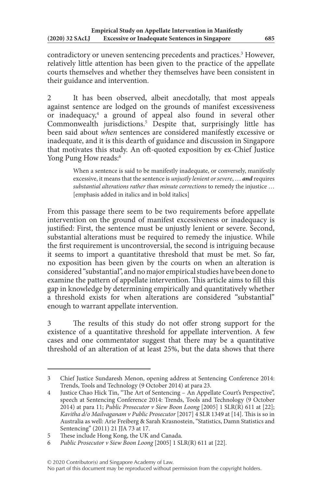contradictory or uneven sentencing precedents and practices.<sup>3</sup> However, relatively little attention has been given to the practice of the appellate courts themselves and whether they themselves have been consistent in their guidance and intervention.

2 It has been observed, albeit anecdotally, that most appeals against sentence are lodged on the grounds of manifest excessiveness or inadequacy,<sup>4</sup> a ground of appeal also found in several other Commonwealth jurisdictions.5 Despite that, surprisingly little has been said about *when* sentences are considered manifestly excessive or inadequate, and it is this dearth of guidance and discussion in Singapore that motivates this study. An oft-quoted exposition by ex-Chief Justice Yong Pung How reads:<sup>6</sup>

> When a sentence is said to be manifestly inadequate, or conversely, manifestly excessive, it means that the sentence is *unjustly lenient or severe*, … *and* requires *substantial alterations rather than minute corrections* to remedy the injustice … [emphasis added in italics and in bold italics]

From this passage there seem to be two requirements before appellate intervention on the ground of manifest excessiveness or inadequacy is justified: First, the sentence must be unjustly lenient or severe. Second, substantial alterations must be required to remedy the injustice. While the first requirement is uncontroversial, the second is intriguing because it seems to import a quantitative threshold that must be met. So far, no exposition has been given by the courts on when an alteration is considered "substantial", and no major empirical studies have been done to examine the pattern of appellate intervention. This article aims to fill this gap in knowledge by determining empirically and quantitatively whether a threshold exists for when alterations are considered "substantial" enough to warrant appellate intervention.

3 The results of this study do not offer strong support for the existence of a quantitative threshold for appellate intervention. A few cases and one commentator suggest that there may be a quantitative threshold of an alteration of at least 25%, but the data shows that there

<sup>3</sup> Chief Justice Sundaresh Menon, opening address at Sentencing Conference 2014: Trends, Tools and Technology (9 October 2014) at para 23.

<sup>4</sup> Justice Chao Hick Tin, "The Art of Sentencing – An Appellate Court's Perspective", speech at Sentencing Conference 2014: Trends, Tools and Technology (9 October 2014) at para 11; *Public Prosecutor v Siew Boon Loong* [2005] 1 SLR(R) 611 at [22]; *Kavitha d/o Mailvaganam v Public Prosecutor* [2017] 4 SLR 1349 at [14]. This is so in Australia as well: Arie Freiberg & Sarah Krasnostein, "Statistics, Damn Statistics and Sentencing" (2011) 21 JJA 73 at 17.

<sup>5</sup> These include Hong Kong, the UK and Canada.

<sup>6</sup> *Public Prosecutor v Siew Boon Loong* [2005] 1 SLR(R) 611 at [22].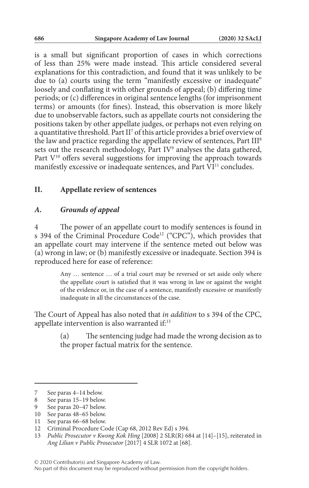is a small but significant proportion of cases in which corrections of less than 25% were made instead. This article considered several explanations for this contradiction, and found that it was unlikely to be due to (a) courts using the term "manifestly excessive or inadequate" loosely and conflating it with other grounds of appeal; (b) differing time periods; or (c) differences in original sentence lengths (for imprisonment terms) or amounts (for fines). Instead, this observation is more likely due to unobservable factors, such as appellate courts not considering the positions taken by other appellate judges, or perhaps not even relying on a quantitative threshold. Part II<sup>7</sup> of this article provides a brief overview of the law and practice regarding the appellate review of sentences, Part III<sup>8</sup> sets out the research methodology, Part IV $\degree$  analyses the data gathered, Part  $V^{10}$  offers several suggestions for improving the approach towards manifestly excessive or inadequate sentences, and Part VI<sup>11</sup> concludes.

#### **II. Appellate review of sentences**

#### *A. Grounds of appeal*

4 The power of an appellate court to modify sentences is found in s 394 of the Criminal Procedure Code<sup>12</sup> ("CPC"), which provides that an appellate court may intervene if the sentence meted out below was (a) wrong in law; or (b) manifestly excessive or inadequate. Section 394 is reproduced here for ease of reference:

> Any … sentence … of a trial court may be reversed or set aside only where the appellate court is satisfied that it was wrong in law or against the weight of the evidence or, in the case of a sentence, manifestly excessive or manifestly inadequate in all the circumstances of the case.

The Court of Appeal has also noted that *in addition* to s 394 of the CPC, appellate intervention is also warranted if:13

> (a) The sentencing judge had made the wrong decision as to the proper factual matrix for the sentence.

- See paras 20–47 below.
- 10 See paras 48–65 below.
- 11 See paras 66–68 below.

<sup>7</sup> See paras 4–14 below.

<sup>8</sup> See paras 15–19 below.<br>9 See paras 20–47 below.

<sup>12</sup> Criminal Procedure Code (Cap 68, 2012 Rev Ed) s 394.

<sup>13</sup> *Public Prosecutor v Kwong Kok Hing* [2008] 2 SLR(R) 684 at [14]–[15], reiterated in *Ang Lilian v Public Prosecutor* [2017] 4 SLR 1072 at [68].

<sup>© 2020</sup> Contributor(s) and Singapore Academy of Law.

No part of this document may be reproduced without permission from the copyright holders.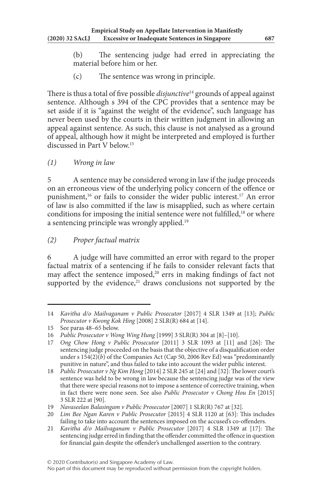(b) The sentencing judge had erred in appreciating the material before him or her.

(c) The sentence was wrong in principle.

There is thus a total of five possible *disjunctive*14 grounds of appeal against sentence. Although s 394 of the CPC provides that a sentence may be set aside if it is "against the weight of the evidence", such language has never been used by the courts in their written judgment in allowing an appeal against sentence. As such, this clause is not analysed as a ground of appeal, although how it might be interpreted and employed is further discussed in Part V below.15

*(1) Wrong in law*

5 A sentence may be considered wrong in law if the judge proceeds on an erroneous view of the underlying policy concern of the offence or punishment,16 or fails to consider the wider public interest.17 An error of law is also committed if the law is misapplied, such as where certain conditions for imposing the initial sentence were not fulfilled,<sup>18</sup> or where a sentencing principle was wrongly applied.<sup>19</sup>

## *(2) Proper factual matrix*

6 A judge will have committed an error with regard to the proper factual matrix of a sentencing if he fails to consider relevant facts that may affect the sentence imposed, $20$  errs in making findings of fact not supported by the evidence, $21$  draws conclusions not supported by the

<sup>14</sup> *Kavitha d/o Mailvaganam v Public Prosecutor* [2017] 4 SLR 1349 at [13]; *Public Prosecutor v Kwong Kok Hing* [2008] 2 SLR(R) 684 at [14].

<sup>15</sup> See paras 48–65 below.

<sup>16</sup> *Public Prosecutor v Wong Wing Hung* [1999] 3 SLR(R) 304 at [8]–[10].

<sup>17</sup> *Ong Chow Hong v Public Prosecutor* [2011] 3 SLR 1093 at [11] and [26]: The sentencing judge proceeded on the basis that the objective of a disqualification order under s 154(2)(*b*) of the Companies Act (Cap 50, 2006 Rev Ed) was "predominantly punitive in nature", and thus failed to take into account the wider public interest.

<sup>18</sup> *Public Prosecutor v Ng Kim Hong* [2014] 2 SLR 245 at [24] and [32]: The lower court's sentence was held to be wrong in law because the sentencing judge was of the view that there were special reasons not to impose a sentence of corrective training, when in fact there were none seen. See also *Public Prosecutor v Chong Hou En* [2015] 3 SLR 222 at [90].

<sup>19</sup> *Navaseelan Balasingam v Public Prosecutor* [2007] 1 SLR(R) 767 at [32].

<sup>20</sup> *Lim Bee Ngan Karen v Public Prosecutor* [2015] 4 SLR 1120 at [63]: This includes failing to take into account the sentences imposed on the accused's co-offenders.

<sup>21</sup> *Kavitha d/o Mailvaganam v Public Prosecutor* [2017] 4 SLR 1349 at [17]: The sentencing judge erred in finding that the offender committed the offence in question for financial gain despite the offender's unchallenged assertion to the contrary.

No part of this document may be reproduced without permission from the copyright holders.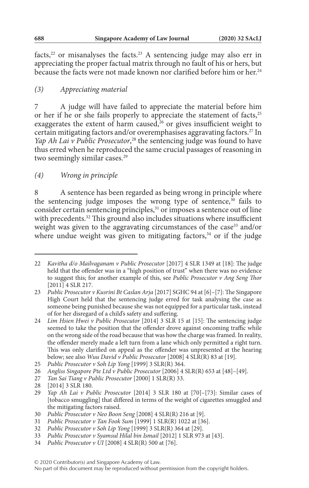facts,<sup>22</sup> or misanalyses the facts.<sup>23</sup> A sentencing judge may also err in appreciating the proper factual matrix through no fault of his or hers, but because the facts were not made known nor clarified before him or her.<sup>24</sup>

## *(3) Appreciating material*

7 A judge will have failed to appreciate the material before him or her if he or she fails properly to appreciate the statement of facts,<sup>25</sup> exaggerates the extent of harm caused,<sup>26</sup> or gives insufficient weight to certain mitigating factors and/or overemphasises aggravating factors.27 In Yap Ah Lai v Public Prosecutor,<sup>28</sup> the sentencing judge was found to have thus erred when he reproduced the same crucial passages of reasoning in two seemingly similar cases.<sup>29</sup>

## *(4) Wrong in principle*

8 A sentence has been regarded as being wrong in principle where the sentencing judge imposes the wrong type of sentence, $30$  fails to consider certain sentencing principles, $31$  or imposes a sentence out of line with precedents.<sup>32</sup> This ground also includes situations where insufficient weight was given to the aggravating circumstances of the case<sup>33</sup> and/or where undue weight was given to mitigating factors, $34$  or if the judge

- 30 *Public Prosecutor v Neo Boon Seng* [2008] 4 SLR(R) 216 at [9].
- 31 *Public Prosecutor v Tan Fook Sum* [1999] 1 SLR(R) 1022 at [36].
- 32 *Public Prosecutor v Soh Lip Yong* [1999] 3 SLR(R) 364 at [29].
- 33 *Public Prosecutor v Syamsul Hilal bin Ismail* [2012] 1 SLR 973 at [43].
- 34 *Public Prosecutor v UI* [2008] 4 SLR(R) 500 at [76].

No part of this document may be reproduced without permission from the copyright holders.

<sup>22</sup> *Kavitha d/o Mailvaganam v Public Prosecutor* [2017] 4 SLR 1349 at [18]: The judge held that the offender was in a "high position of trust" when there was no evidence to suggest this; for another example of this, see *Public Prosecutor v Ang Seng Thor* [2011] 4 SLR 217.

<sup>23</sup> *Public Prosecutor v Kusrini Bt Caslan Arja* [2017] SGHC 94 at [6]–[7]: The Singapore High Court held that the sentencing judge erred for task analysing the case as someone being punished because she was not equipped for a particular task, instead of for her disregard of a child's safety and suffering.

<sup>24</sup> *Lim Hsien Hwei v Public Prosecutor* [2014] 3 SLR 15 at [15]: The sentencing judge seemed to take the position that the offender drove against oncoming traffic while on the wrong side of the road because that was how the charge was framed. In reality, the offender merely made a left turn from a lane which only permitted a right turn. This was only clarified on appeal as the offender was unpresented at the hearing below; see also *Wuu David v Public Prosecutor* [2008] 4 SLR(R) 83 at [19].

<sup>25</sup> *Public Prosecutor v Soh Lip Yong* [1999] 3 SLR(R) 364.

<sup>26</sup> *Angliss Singapore Pte Ltd v Public Prosecutor* [2006] 4 SLR(R) 653 at [48]–[49].

<sup>27</sup> *Tan Sai Tiang v Public Prosecutor* [2000] 1 SLR(R) 33.

<sup>28</sup> [2014] 3 SLR 180.

<sup>29</sup> *Yap Ah Lai v Public Prosecutor* [2014] 3 SLR 180 at [70]–[73]: Similar cases of [tobacco smuggling] that differed in terms of the weight of cigarettes smuggled and the mitigating factors raised.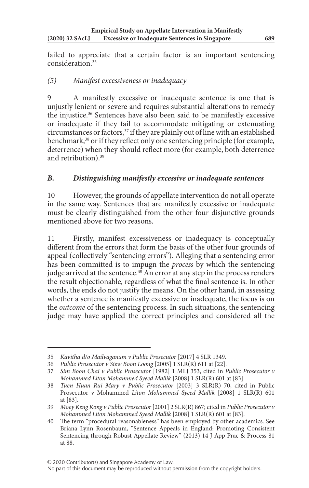failed to appreciate that a certain factor is an important sentencing consideration.35

## *(5) Manifest excessiveness or inadequacy*

9 A manifestly excessive or inadequate sentence is one that is unjustly lenient or severe and requires substantial alterations to remedy the injustice.36 Sentences have also been said to be manifestly excessive or inadequate if they fail to accommodate mitigating or extenuating circumstances or factors, $37$  if they are plainly out of line with an established benchmark,<sup>38</sup> or if they reflect only one sentencing principle (for example, deterrence) when they should reflect more (for example, both deterrence and retribution).<sup>39</sup>

## *B. Distinguishing manifestly excessive or inadequate sentences*

10 However, the grounds of appellate intervention do not all operate in the same way. Sentences that are manifestly excessive or inadequate must be clearly distinguished from the other four disjunctive grounds mentioned above for two reasons.

11 Firstly, manifest excessiveness or inadequacy is conceptually different from the errors that form the basis of the other four grounds of appeal (collectively "sentencing errors"). Alleging that a sentencing error has been committed is to impugn the *process* by which the sentencing judge arrived at the sentence.<sup>40</sup> An error at any step in the process renders the result objectionable, regardless of what the final sentence is. In other words, the ends do not justify the means. On the other hand, in assessing whether a sentence is manifestly excessive or inadequate, the focus is on the *outcome* of the sentencing process. In such situations, the sentencing judge may have applied the correct principles and considered all the

© 2020 Contributor(s) and Singapore Academy of Law.

No part of this document may be reproduced without permission from the copyright holders.

<sup>35</sup> *Kavitha d/o Mailvaganam v Public Prosecutor* [2017] 4 SLR 1349.

<sup>36</sup> *Public Prosecutor v Siew Boon Loong* [2005] 1 SLR(R) 611 at [22].

<sup>37</sup> *Sim Boon Chai v Public Prosecutor* [1982] 1 MLJ 353, cited in *Public Prosecutor v Mohammed Liton Mohammed Syeed Mallik* [2008] 1 SLR(R) 601 at [83].

<sup>38</sup> *Tuen Huan Rui Mary v Public Prosecutor* [2003] 3 SLR(R) 70, cited in Public Prosecutor v Mohammed *Liton Mohammed Syeed Mallik* [2008] 1 SLR(R) 601 at [83].

<sup>39</sup> *Moey Keng Kong v Public Prosecutor* [2001] 2 SLR(R) 867; cited in *Public Prosecutor v Mohammed Liton Mohammed Syeed Mallik* [2008] 1 SLR(R) 601 at [83].

<sup>40</sup> The term "procedural reasonableness" has been employed by other academics. See Briana Lynn Rosenbaum, "Sentence Appeals in England: Promoting Consistent Sentencing through Robust Appellate Review" (2013) 14 J App Prac & Process 81 at 88.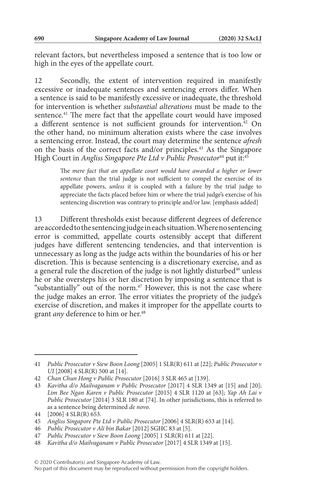relevant factors, but nevertheless imposed a sentence that is too low or high in the eyes of the appellate court.

12 Secondly, the extent of intervention required in manifestly excessive or inadequate sentences and sentencing errors differ. When a sentence is said to be manifestly excessive or inadequate, the threshold for intervention is whether *substantial alterations* must be made to the sentence.<sup>41</sup> The mere fact that the appellate court would have imposed a different sentence is not sufficient grounds for intervention.<sup>42</sup> On the other hand, no minimum alteration exists where the case involves a sentencing error. Instead, the court may determine the sentence *afresh* on the basis of the correct facts and/or principles.43 As the Singapore High Court in *Angliss Singapore Pte Ltd v Public Prosecutor*<sup>44</sup> put it:<sup>45</sup>

> The *mere fact that an appellate court would have awarded a higher or lower sentence* than the trial judge is not sufficient to compel the exercise of its appellate powers, *unless* it is coupled with a failure by the trial judge to appreciate the facts placed before him or where the trial judge's exercise of his sentencing discretion was contrary to principle and/or law. [emphasis added]

13 Different thresholds exist because different degrees of deference are accorded to the sentencing judge in each situation. Where no sentencing error is committed, appellate courts ostensibly accept that different judges have different sentencing tendencies, and that intervention is unnecessary as long as the judge acts within the boundaries of his or her discretion. This is because sentencing is a discretionary exercise, and as a general rule the discretion of the judge is not lightly disturbed<sup>46</sup> unless he or she oversteps his or her discretion by imposing a sentence that is "substantially" out of the norm.<sup>47</sup> However, this is not the case where the judge makes an error. The error vitiates the propriety of the judge's exercise of discretion, and makes it improper for the appellate courts to grant *any* deference to him or her.<sup>48</sup>

<sup>41</sup> *Public Prosecutor v Siew Boon Loong* [2005] 1 SLR(R) 611 at [22]; *Public Prosecutor v UI* [2008] 4 SLR(R) 500 at [14].

<sup>42</sup> *Chan Chun Hong v Public Prosecutor* [2016] 3 SLR 465 at [139].

<sup>43</sup> *Kavitha d/o Mailvaganam v Public Prosecutor* [2017] 4 SLR 1349 at [15] and [20]; *Lim Bee Ngan Karen v Public Prosecutor* [2015] 4 SLR 1120 at [63]; *Yap Ah Lai v Public Prosecutor* [2014] 3 SLR 180 at [74]. In other jurisdictions, this is referred to as a sentence being determined *de novo*.

<sup>44</sup> [2006] 4 SLR(R) 653.

<sup>45</sup> *Angliss Singapore Pte Ltd v Public Prosecutor* [2006] 4 SLR(R) 653 at [14].

<sup>46</sup> *Public Prosecutor v Ali bin Bakar* [2012] SGHC 83 at [5].

<sup>47</sup> *Public Prosecutor v Siew Boon Loong* [2005] 1 SLR(R) 611 at [22].

<sup>48</sup> *Kavitha d/o Mailvaganam v Public Prosecutor* [2017] 4 SLR 1349 at [15].

No part of this document may be reproduced without permission from the copyright holders.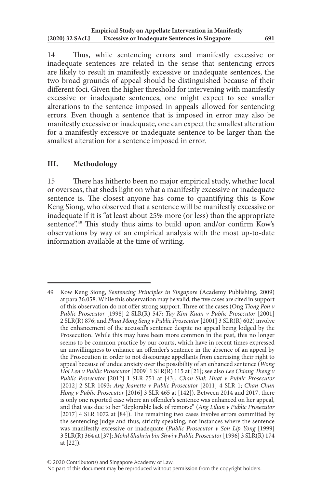14 Thus, while sentencing errors and manifestly excessive or inadequate sentences are related in the sense that sentencing errors are likely to result in manifestly excessive or inadequate sentences, the two broad grounds of appeal should be distinguished because of their different foci. Given the higher threshold for intervening with manifestly excessive or inadequate sentences, one might expect to see smaller alterations to the sentence imposed in appeals allowed for sentencing errors. Even though a sentence that is imposed in error may also be manifestly excessive or inadequate, one can expect the smallest alteration for a manifestly excessive or inadequate sentence to be larger than the smallest alteration for a sentence imposed in error.

## **III. Methodology**

15 There has hitherto been no major empirical study, whether local or overseas, that sheds light on what a manifestly excessive or inadequate sentence is. The closest anyone has come to quantifying this is Kow Keng Siong, who observed that a sentence will be manifestly excessive or inadequate if it is "at least about 25% more (or less) than the appropriate sentence".49 This study thus aims to build upon and/or confirm Kow's observations by way of an empirical analysis with the most up-to-date information available at the time of writing.

<sup>49</sup> Kow Keng Siong, *Sentencing Principles in Singapore* (Academy Publishing, 2009) at para 36.058. While this observation may be valid, the five cases are cited in support of this observation do not offer strong support. Three of the cases (Ong *Tiong Poh v Public Prosecutor* [1998] 2 SLR(R) 547; *Tay Kim Kuan v Public Prosecutor* [2001] 2 SLR(R) 876; and *Phua Mong Seng v Public Prosecutor* [2001] 3 SLR(R) 602) involve the enhancement of the accused's sentence despite no appeal being lodged by the Prosecution. While this may have been more common in the past, this no longer seems to be common practice by our courts, which have in recent times expressed an unwillingness to enhance an offender's sentence in the absence of an appeal by the Prosecution in order to not discourage appellants from exercising their right to appeal because of undue anxiety over the possibility of an enhanced sentence (*Wong Hoi Len v Public Prosecutor* [2009] 1 SLR(R) 115 at [21]; see also *Lee Chiang Theng v Public Prosecutor* [2012] 1 SLR 751 at [43]; *Chan Siak Huat v Public Prosecutor* [2012] 2 SLR 1093; *Ang Jeanette v Public Prosecutor* [2011] 4 SLR 1; *Chan Chun Hong v Public Prosecutor* [2016] 3 SLR 465 at [142]). Between 2014 and 2017, there is only one reported case where an offender's sentence was enhanced on her appeal, and that was due to her "deplorable lack of remorse" (*Ang Lilian v Public Prosecutor* [2017] 4 SLR 1072 at [84]). The remaining two cases involve errors committed by the sentencing judge and thus, strictly speaking, not instances where the sentence was manifestly excessive or inadequate (*Public Prosecutor v Soh Lip Yong* [1999] 3 SLR(R) 364 at [37]; *Mohd Shahrin bin Shwi v Public Prosecutor* [1996] 3 SLR(R) 174 at [22]).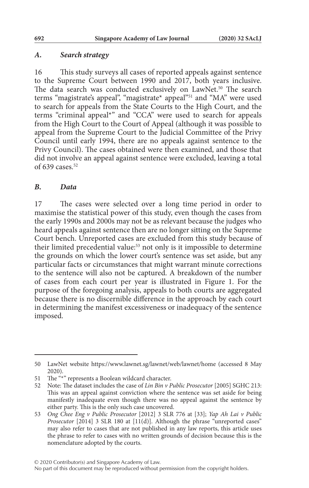#### *A. Search strategy*

16 This study surveys all cases of reported appeals against sentence to the Supreme Court between 1990 and 2017, both years inclusive. The data search was conducted exclusively on LawNet.<sup>50</sup> The search terms "magistrate's appeal", "magistrate\* appeal"51 and "MA" were used to search for appeals from the State Courts to the High Court, and the terms "criminal appeal\*" and "CCA" were used to search for appeals from the High Court to the Court of Appeal (although it was possible to appeal from the Supreme Court to the Judicial Committee of the Privy Council until early 1994, there are no appeals against sentence to the Privy Council). The cases obtained were then examined, and those that did not involve an appeal against sentence were excluded, leaving a total of 639 cases.<sup>52</sup>

#### *B. Data*

17 The cases were selected over a long time period in order to maximise the statistical power of this study, even though the cases from the early 1990s and 2000s may not be as relevant because the judges who heard appeals against sentence then are no longer sitting on the Supreme Court bench. Unreported cases are excluded from this study because of their limited precedential value:53 not only is it impossible to determine the grounds on which the lower court's sentence was set aside, but any particular facts or circumstances that might warrant minute corrections to the sentence will also not be captured. A breakdown of the number of cases from each court per year is illustrated in Figure 1. For the purpose of the foregoing analysis, appeals to both courts are aggregated because there is no discernible difference in the approach by each court in determining the manifest excessiveness or inadequacy of the sentence imposed.

<sup>50</sup> LawNet website https://www.lawnet.sg/lawnet/web/lawnet/home (accessed 8 May 2020).

<sup>51</sup> The "\*" represents a Boolean wildcard character.

<sup>52</sup> Note: The dataset includes the case of *Lin Bin v Public Prosecutor* [2005] SGHC 213: This was an appeal against conviction where the sentence was set aside for being manifestly inadequate even though there was no appeal against the sentence by either party. This is the only such case uncovered.

<sup>53</sup> *Ong Chee Eng v Public Prosecutor* [2012] 3 SLR 776 at [33]; *Yap Ah Lai v Public Prosecutor* [2014] 3 SLR 180 at [11(d)]. Although the phrase "unreported cases" may also refer to cases that are not published in any law reports, this article uses the phrase to refer to cases with no written grounds of decision because this is the nomenclature adopted by the courts.

No part of this document may be reproduced without permission from the copyright holders.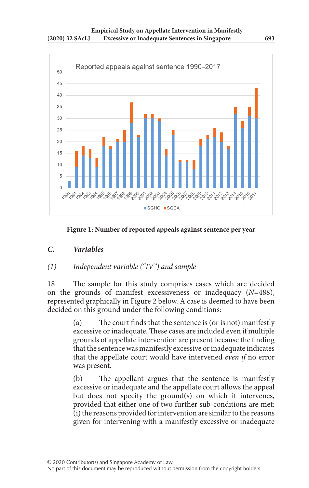

**Figure 1: Number of reported appeals against sentence per year**

## *C. Variables*

## *(1) Independent variable ("IV") and sample*

18 The sample for this study comprises cases which are decided on the grounds of manifest excessiveness or inadequacy (*N*=488), represented graphically in Figure 2 below. A case is deemed to have been decided on this ground under the following conditions:

> (a) The court finds that the sentence is (or is not) manifestly excessive or inadequate. These cases are included even if multiple grounds of appellate intervention are present because the finding that the sentence was manifestly excessive or inadequate indicates that the appellate court would have intervened *even if* no error was present.

> (b) The appellant argues that the sentence is manifestly excessive or inadequate and the appellate court allows the appeal but does not specify the ground(s) on which it intervenes, provided that either one of two further sub-conditions are met: (i) the reasons provided for intervention are similar to the reasons given for intervening with a manifestly excessive or inadequate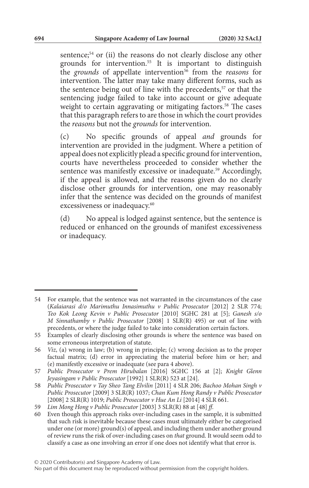sentence;<sup>54</sup> or (ii) the reasons do not clearly disclose any other grounds for intervention.55 It is important to distinguish the *grounds* of appellate intervention<sup>56</sup> from the *reasons* for intervention. The latter may take many different forms, such as the sentence being out of line with the precedents,<sup>57</sup> or that the sentencing judge failed to take into account or give adequate weight to certain aggravating or mitigating factors.<sup>58</sup> The cases that this paragraph refers to are those in which the court provides the *reasons* but not the *grounds* for intervention.

(c) No specific grounds of appeal *and* grounds for intervention are provided in the judgment. Where a petition of appeal does not explicitly plead a specific ground for intervention, courts have nevertheless proceeded to consider whether the sentence was manifestly excessive or inadequate.<sup>59</sup> Accordingly, if the appeal is allowed, and the reasons given do no clearly disclose other grounds for intervention, one may reasonably infer that the sentence was decided on the grounds of manifest excessiveness or inadequacy.<sup>60</sup>

(d) No appeal is lodged against sentence, but the sentence is reduced or enhanced on the grounds of manifest excessiveness or inadequacy.

<sup>54</sup> For example, that the sentence was not warranted in the circumstances of the case (*Kalaiarasi d/o Marimuthu Innasimuthu v Public Prosecutor* [2012] 2 SLR 774; *Teo Kok Leong Kevin v Public Prosecutor* [2010] SGHC 281 at [5]; *Ganesh s/o M Sinnathamby v Public Prosecutor* [2008] 1 SLR(R) 495) or out of line with precedents, or where the judge failed to take into consideration certain factors.

<sup>55</sup> Examples of clearly disclosing other grounds is where the sentence was based on some erroneous interpretation of statute.

<sup>56</sup> *Viz*, (a) wrong in law; (b) wrong in principle; (c) wrong decision as to the proper factual matrix; (d) error in appreciating the material before him or her; and (e) manifestly excessive or inadequate (see para 4 above).

<sup>57</sup> *Public Prosecutor v Prem Hirubalan* [2016] SGHC 156 at [2]; *Knight Glenn Jeyasingam v Public Prosecutor* [1992] 1 SLR(R) 523 at [24].

<sup>58</sup> *Public Prosecutor v Tay Sheo Tang Elvilin* [2011] 4 SLR 206; *Bachoo Mohan Singh v Public Prosecutor* [2009] 3 SLR(R) 1037; *Chan Kum Hong Randy v Public Prosecutor* [2008] 2 SLR(R) 1019; *Public Prosecutor v Hue An Li* [2014] 4 SLR 661.

<sup>59</sup> *Lim Mong Hong v Public Prosecutor* [2003] 3 SLR(R) 88 at [48] *ff*.

<sup>60</sup> Even though this approach risks over-including cases in the sample, it is submitted that such risk is inevitable because these cases must ultimately either be categorised under one (or more) ground(s) of appeal, and including them under another ground of review runs the risk of over-including cases on *that* ground. It would seem odd to classify a case as one involving an error if one does not identify what that error is.

No part of this document may be reproduced without permission from the copyright holders.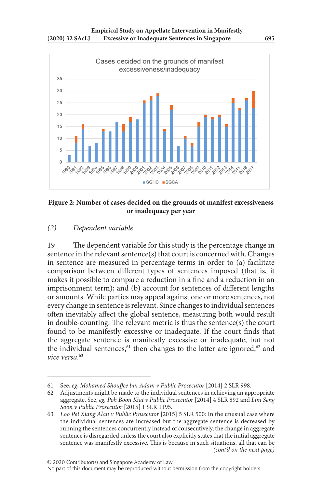

**Figure 2: Number of cases decided on the grounds of manifest excessiveness or inadequacy per year**

## *(2) Dependent variable*

19 The dependent variable for this study is the percentage change in sentence in the relevant sentence(s) that court is concerned with. Changes in sentence are measured in percentage terms in order to (a) facilitate comparison between different types of sentences imposed (that is, it makes it possible to compare a reduction in a fine and a reduction in an imprisonment term); and (b) account for sentences of different lengths or amounts. While parties may appeal against one or more sentences, not every change in sentence is relevant. Since changes to individual sentences often inevitably affect the global sentence, measuring both would result in double-counting. The relevant metric is thus the sentence(s) the court found to be manifestly excessive or inadequate. If the court finds that the aggregate sentence is manifestly excessive or inadequate, but not the individual sentences, $61$  then changes to the latter are ignored, $62$  and *vice versa*. 63

<sup>61</sup> See, *eg*, *Mohamed Shouffee bin Adam v Public Prosecutor* [2014] 2 SLR 998.

Adjustments might be made to the individual sentences in achieving an appropriate aggregate. See, *eg, Poh Boon Kiat v Public Prosecutor* [2014] 4 SLR 892 and *Lim Seng Soon v Public Prosecutor* [2015] 1 SLR 1195.

<sup>63</sup> *Loo Pei Xiang Alan v Public Prosecutor* [2015] 5 SLR 500: In the unusual case where the individual sentences are increased but the aggregate sentence is decreased by running the sentences concurrently instead of consecutively, the change in aggregate sentence is disregarded unless the court also explicitly states that the initial aggregate sentence was manifestly excessive. This is because in such situations, all that can be *(cont'd on the next page)*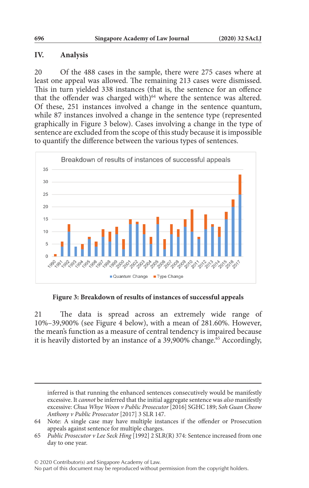#### **IV. Analysis**

20 Of the 488 cases in the sample, there were 275 cases where at least one appeal was allowed. The remaining 213 cases were dismissed. This in turn yielded 338 instances (that is, the sentence for an offence that the offender was charged with)<sup>64</sup> where the sentence was altered. Of these, 251 instances involved a change in the sentence quantum, while 87 instances involved a change in the sentence type (represented graphically in Figure 3 below). Cases involving a change in the type of sentence are excluded from the scope of this study because it is impossible to quantify the difference between the various types of sentences.



**Figure 3: Breakdown of results of instances of successful appeals**

21 The data is spread across an extremely wide range of 10%–39,900% (see Figure 4 below), with a mean of 281.60%. However, the mean's function as a measure of central tendency is impaired because it is heavily distorted by an instance of a  $39,900\%$  change.<sup>65</sup> Accordingly,

inferred is that running the enhanced sentences consecutively would be manifestly excessive. It *cannot* be inferred that the initial aggregate sentence was *also* manifestly excessive: *Chua Whye Woon v Public Prosecutor* [2016] SGHC 189; *Soh Guan Cheow Anthony v Public Prosecutor* [2017] 3 SLR 147.

<sup>64</sup> Note: A single case may have multiple instances if the offender or Prosecution appeals against sentence for multiple charges.

<sup>65</sup> *Public Prosecutor v Lee Seck Hing* [1992] 2 SLR(R) 374: Sentence increased from one day to one year.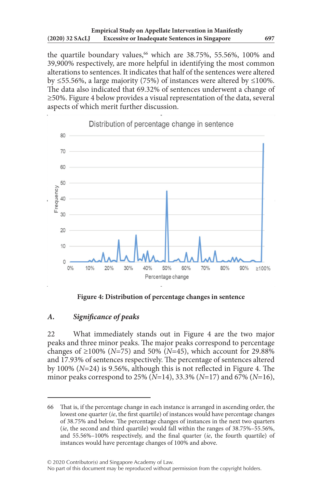the quartile boundary values,<sup>66</sup> which are 38.75%, 55.56%, 100% and 39,900% respectively, are more helpful in identifying the most common alterations to sentences. It indicates that half of the sentences were altered by ≤55.56%, a large majority (75%) of instances were altered by ≤100%. The data also indicated that 69.32% of sentences underwent a change of ≥50%. Figure 4 below provides a visual representation of the data, several aspects of which merit further discussion.



**Figure 4: Distribution of percentage changes in sentence**

### *A. Significance of peaks*

22 What immediately stands out in Figure 4 are the two major peaks and three minor peaks. The major peaks correspond to percentage changes of ≥100% ( $N=75$ ) and 50% ( $N=45$ ), which account for 29.88% and 17.93% of sentences respectively. The percentage of sentences altered by 100% (*N*=24) is 9.56%, although this is not reflected in Figure 4. The minor peaks correspond to 25% (*N*=14), 33.3% (*N*=17) and 67% (*N*=16),

<sup>66</sup> That is, if the percentage change in each instance is arranged in ascending order, the lowest one quarter (*ie*, the first quartile) of instances would have percentage changes of 38.75% and below. The percentage changes of instances in the next two quarters (*ie*, the second and third quartile) would fall within the ranges of 38.75%–55.56%, and 55.56%–100% respectively, and the final quarter (*ie*, the fourth quartile) of instances would have percentage changes of 100% and above.

No part of this document may be reproduced without permission from the copyright holders.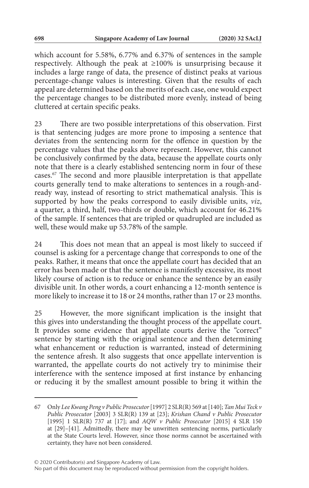which account for 5.58%, 6.77% and 6.37% of sentences in the sample respectively. Although the peak at ≥100% is unsurprising because it includes a large range of data, the presence of distinct peaks at various percentage-change values is interesting. Given that the results of each appeal are determined based on the merits of each case, one would expect the percentage changes to be distributed more evenly, instead of being cluttered at certain specific peaks.

23 There are two possible interpretations of this observation. First is that sentencing judges are more prone to imposing a sentence that deviates from the sentencing norm for the offence in question by the percentage values that the peaks above represent. However, this cannot be conclusively confirmed by the data, because the appellate courts only note that there is a clearly established sentencing norm in four of these cases.67 The second and more plausible interpretation is that appellate courts generally tend to make alterations to sentences in a rough-andready way, instead of resorting to strict mathematical analysis. This is supported by how the peaks correspond to easily divisible units, *viz*, a quarter, a third, half, two-thirds or double, which account for 46.21% of the sample. If sentences that are tripled or quadrupled are included as well, these would make up 53.78% of the sample.

24 This does not mean that an appeal is most likely to succeed if counsel is asking for a percentage change that corresponds to one of the peaks. Rather, it means that once the appellate court has decided that an error has been made or that the sentence is manifestly excessive, its most likely course of action is to reduce or enhance the sentence by an easily divisible unit. In other words, a court enhancing a 12-month sentence is more likely to increase it to 18 or 24 months, rather than 17 or 23 months.

25 However, the more significant implication is the insight that this gives into understanding the thought process of the appellate court. It provides some evidence that appellate courts derive the "correct" sentence by starting with the original sentence and then determining what enhancement or reduction is warranted, instead of determining the sentence afresh. It also suggests that once appellate intervention is warranted, the appellate courts do not actively try to minimise their interference with the sentence imposed at first instance by enhancing or reducing it by the smallest amount possible to bring it within the

<sup>67</sup> Only *Lee Kwang Peng v Public Prosecutor* [1997] 2 SLR(R) 569 at [140]; *Tan Mui Teck v Public Prosecutor* [2003] 3 SLR(R) 139 at [23]; *Krishan Chand v Public Prosecutor* [1995] 1 SLR(R) 737 at [17]; and *AQW v Public Prosecutor* [2015] 4 SLR 150 at [29]–[41]. Admittedly, there may be unwritten sentencing norms, particularly at the State Courts level. However, since those norms cannot be ascertained with certainty, they have not been considered.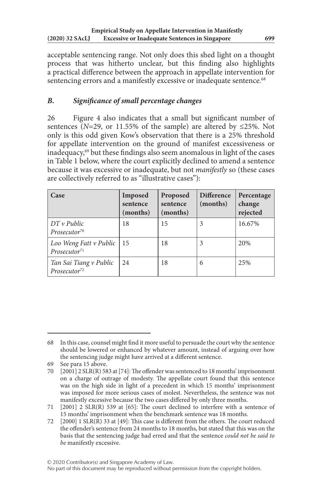acceptable sentencing range. Not only does this shed light on a thought process that was hitherto unclear, but this finding also highlights a practical difference between the approach in appellate intervention for sentencing errors and a manifestly excessive or inadequate sentence.<sup>68</sup>

## *B. Significance of small percentage changes*

26 Figure 4 also indicates that a small but significant number of sentences ( $N=29$ , or 11.55% of the sample) are altered by  $\leq 25\%$ . Not only is this odd given Kow's observation that there is a 25% threshold for appellate intervention on the ground of manifest excessiveness or inadequacy,69 but these findings also seem anomalous in light of the cases in Table 1 below, where the court explicitly declined to amend a sentence because it was excessive or inadequate, but not *manifestly* so (these cases are collectively referred to as "illustrative cases"):

| Case                                               | Imposed<br>sentence<br>(months) | Proposed<br>sentence<br>(months) | <b>Difference</b><br>(months) | Percentage<br>change<br>rejected |
|----------------------------------------------------|---------------------------------|----------------------------------|-------------------------------|----------------------------------|
| $DT v$ Public<br>Prosecutor <sup>70</sup>          | 18                              | 15                               | 3                             | 16.67%                           |
| Loo Weng Fatt v Public<br>Prosecutor <sup>71</sup> | $\vert$ 15                      | 18                               | 3                             | 20%                              |
| Tan Sai Tiang v Public<br>Prosecutor <sup>72</sup> | 24                              | 18                               | 6                             | 25%                              |

<sup>68</sup> In this case, counsel might find it more useful to persuade the court why the sentence should be lowered or enhanced by whatever amount, instead of arguing over how the sentencing judge might have arrived at a different sentence.

<sup>69</sup> See para 15 above.

<sup>70</sup> [2001] 2 SLR(R) 583 at [74]: The offender was sentenced to 18 months' imprisonment on a charge of outrage of modesty. The appellate court found that this sentence was on the high side in light of a precedent in which 15 months' imprisonment was imposed for more serious cases of molest. Nevertheless, the sentence was not manifestly excessive because the two cases differed by only three months.

<sup>71</sup> [2001] 2 SLR(R) 539 at [65]: The court declined to interfere with a sentence of 15 months' imprisonment when the benchmark sentence was 18 months.

<sup>72</sup> [2000] 1 SLR(R) 33 at [49]: This case is different from the others. The court reduced the offender's sentence from 24 months to 18 months, but stated that this was on the basis that the sentencing judge had erred and that the sentence *could not be said to be* manifestly excessive.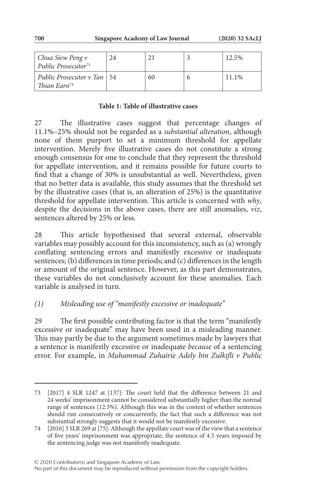| Chua Siew Peng v<br>Public Prosecutor <sup>73</sup>      | 2.4 |    | 12.5% |
|----------------------------------------------------------|-----|----|-------|
| Public Prosecutor v Tan   54<br>Thian Earn <sup>74</sup> |     | 60 | 11.1% |

#### **Table 1: Table of illustrative cases**

27 The illustrative cases suggest that percentage changes of 11.1%–25% should not be regarded as a *substantial alteration*, although none of them purport to set a minimum threshold for appellate intervention. Merely five illustrative cases do not constitute a strong enough consensus for one to conclude that they represent the threshold for appellate intervention, and it remains possible for future courts to find that a change of 30% is unsubstantial as well. Nevertheless, given that no better data is available, this study assumes that the threshold set by the illustrative cases (that is, an alteration of 25%) is the quantitative threshold for appellate intervention. This article is concerned with *why*, despite the decisions in the above cases, there are still anomalies, *viz*, sentences altered by 25% or less.

28 This article hypothesised that several external, observable variables may possibly account for this inconsistency, such as (a) wrongly conflating sentencing errors and manifestly excessive or inadequate sentences; (b) differences in time periods; and (c) differences in the length or amount of the original sentence. However, as this part demonstrates, these variables do not conclusively account for these anomalies. Each variable is analysed in turn.

### *(1) Misleading use of "manifestly excessive or inadequate"*

29 The first possible contributing factor is that the term "manifestly excessive or inadequate" may have been used in a misleading manner. This may partly be due to the argument sometimes made by lawyers that a sentence is manifestly excessive or inadequate *because* of a sentencing error. For example, in *Muhammad Zuhairie Adely bin Zulkifli v Public* 

© 2020 Contributor(s) and Singapore Academy of Law.

No part of this document may be reproduced without permission from the copyright holders.

<sup>73</sup> [2017] 4 SLR 1247 at [137]: The court held that the difference between 21 and 24 weeks' imprisonment cannot be considered substantially higher than the normal range of sentences (12.5%). Although this was in the context of whether sentences should run consecutively or concurrently, the fact that such a difference was not substantial strongly suggests that it would not be manifestly excessive.

<sup>74</sup> [2016] 3 SLR 269 at [75]: Although the appellate court was of the view that a sentence of five years' imprisonment was appropriate, the sentence of 4.5 years imposed by the sentencing judge was not manifestly inadequate.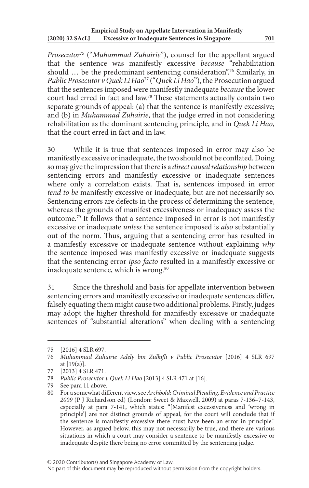*Prosecutor*75 ("*Muhammad Zuhairie*"), counsel for the appellant argued that the sentence was manifestly excessive *because* "rehabilitation should … be the predominant sentencing consideration".76 Similarly, in *Public Prosecutor v Quek Li Hao*77 ("*Quek Li Hao*"), the Prosecution argued that the sentences imposed were manifestly inadequate *because* the lower court had erred in fact and law.78 These statements actually contain two separate grounds of appeal: (a) that the sentence is manifestly excessive; and (b) in *Muhammad Zuhairie*, that the judge erred in not considering rehabilitation as the dominant sentencing principle, and in *Quek Li Hao*, that the court erred in fact and in law.

30 While it is true that sentences imposed in error may also be manifestly excessive or inadequate, the two should not be conflated. Doing so may give the impression that there is a *direct causal relationship* between sentencing errors and manifestly excessive or inadequate sentences where only a correlation exists. That is, sentences imposed in error *tend to be* manifestly excessive or inadequate, but are not necessarily so. Sentencing errors are defects in the process of determining the sentence, whereas the grounds of manifest excessiveness or inadequacy assess the outcome.79 It follows that a sentence imposed in error is not manifestly excessive or inadequate *unless* the sentence imposed is *also* substantially out of the norm. Thus, arguing that a sentencing error has resulted in a manifestly excessive or inadequate sentence without explaining *why* the sentence imposed was manifestly excessive or inadequate suggests that the sentencing error *ipso facto* resulted in a manifestly excessive or inadequate sentence, which is wrong.<sup>80</sup>

31 Since the threshold and basis for appellate intervention between sentencing errors and manifestly excessive or inadequate sentences differ, falsely equating them might cause two additional problems. Firstly, judges may adopt the higher threshold for manifestly excessive or inadequate sentences of "substantial alterations" when dealing with a sentencing

<sup>75</sup> [2016] 4 SLR 697.

<sup>76</sup> *Muhammad Zuhairie Adely bin Zulkifli v Public Prosecutor* [2016] 4 SLR 697 at  $[19(a)]$ .

<sup>77</sup> [2013] 4 SLR 471.

<sup>78</sup> *Public Prosecutor v Quek Li Hao* [2013] 4 SLR 471 at [16].

<sup>79</sup> See para 11 above.

<sup>80</sup> For a somewhat different view, see *Archbold: Criminal Pleading, Evidence and Practice 2009* (P J Richardson ed) (London: Sweet & Maxwell, 2009) at paras 7-136–7-143, especially at para 7-141, which states: "[Manifest excessiveness and 'wrong in principle'] are not distinct grounds of appeal, for the court will conclude that if the sentence is manifestly excessive there must have been an error in principle." However, as argued below, this may not necessarily be true, and there are various situations in which a court may consider a sentence to be manifestly excessive or inadequate despite there being no error committed by the sentencing judge.

No part of this document may be reproduced without permission from the copyright holders.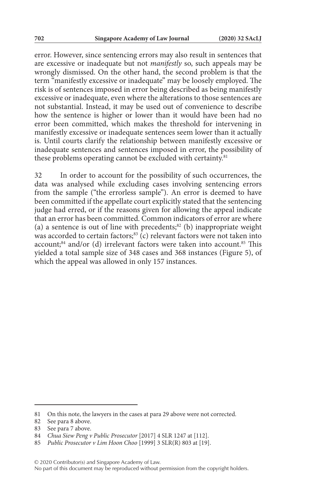error. However, since sentencing errors may also result in sentences that are excessive or inadequate but not *manifestly* so, such appeals may be wrongly dismissed. On the other hand, the second problem is that the term "manifestly excessive or inadequate" may be loosely employed. The risk is of sentences imposed in error being described as being manifestly excessive or inadequate, even where the alterations to those sentences are not substantial. Instead, it may be used out of convenience to describe how the sentence is higher or lower than it would have been had no error been committed, which makes the threshold for intervening in manifestly excessive or inadequate sentences seem lower than it actually is. Until courts clarify the relationship between manifestly excessive or inadequate sentences and sentences imposed in error, the possibility of these problems operating cannot be excluded with certainty.<sup>81</sup>

32 In order to account for the possibility of such occurrences, the data was analysed while excluding cases involving sentencing errors from the sample ("the errorless sample"). An error is deemed to have been committed if the appellate court explicitly stated that the sentencing judge had erred, or if the reasons given for allowing the appeal indicate that an error has been committed. Common indicators of error are where (a) a sentence is out of line with precedents; $82$  (b) inappropriate weight was accorded to certain factors;<sup>83</sup> (c) relevant factors were not taken into account; $84$  and/or (d) irrelevant factors were taken into account. $85$  This yielded a total sample size of 348 cases and 368 instances (Figure 5), of which the appeal was allowed in only 157 instances.

<sup>81</sup> On this note, the lawyers in the cases at para 29 above were not corrected.

<sup>82</sup> See para 8 above.

<sup>83</sup> See para 7 above.

<sup>84</sup> *Chua Siew Peng v Public Prosecutor* [2017] 4 SLR 1247 at [112].

<sup>85</sup> *Public Prosecutor v Lim Hoon Choo* [1999] 3 SLR(R) 803 at [19].

<sup>© 2020</sup> Contributor(s) and Singapore Academy of Law.

No part of this document may be reproduced without permission from the copyright holders.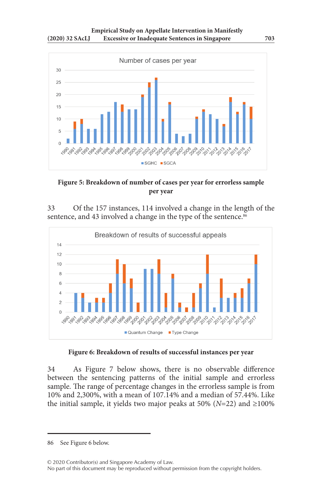

**Figure 5: Breakdown of number of cases per year for errorless sample per year**

33 Of the 157 instances, 114 involved a change in the length of the sentence, and 43 involved a change in the type of the sentence.<sup>86</sup>



**Figure 6: Breakdown of results of successful instances per year**

34 As Figure 7 below shows, there is no observable difference between the sentencing patterns of the initial sample and errorless sample. The range of percentage changes in the errorless sample is from 10% and 2,300%, with a mean of 107.14% and a median of 57.44%. Like the initial sample, it yields two major peaks at 50% ( $N=22$ ) and  $\geq 100\%$ 

86 See Figure 6 below.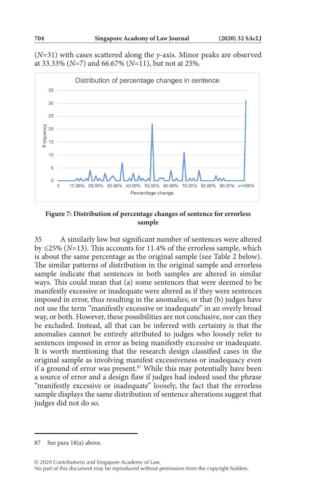(*N*=31) with cases scattered along the *y*-axis. Minor peaks are observed at 33.33% (*N*=7) and 66.67% (*N*=11), but not at 25%.



**Figure 7: Distribution of percentage changes of sentence for errorless sample**

35 A similarly low but significant number of sentences were altered by ≤25% (*N*=13). This accounts for 11.4% of the errorless sample, which is about the same percentage as the original sample (see Table 2 below). The similar patterns of distribution in the original sample and errorless sample indicate that sentences in both samples are altered in similar ways. This could mean that (a) some sentences that were deemed to be manifestly excessive or inadequate were altered as if they were sentences imposed in error, thus resulting in the anomalies; or that (b) judges have not use the term "manifestly excessive or inadequate" in an overly broad way, or both. However, these possibilities are not conclusive, nor can they be excluded. Instead, all that can be inferred with certainty is that the anomalies cannot be entirely attributed to judges who loosely refer to sentences imposed in error as being manifestly excessive or inadequate. It is worth mentioning that the research design classified cases in the original sample as involving manifest excessiveness or inadequacy even if a ground of error was present.<sup>87</sup> While this may potentially have been a source of error and a design flaw if judges had indeed used the phrase "manifestly excessive or inadequate" loosely, the fact that the errorless sample displays the same distribution of sentence alterations suggest that judges did not do so.

<sup>87</sup> See para 18(a) above.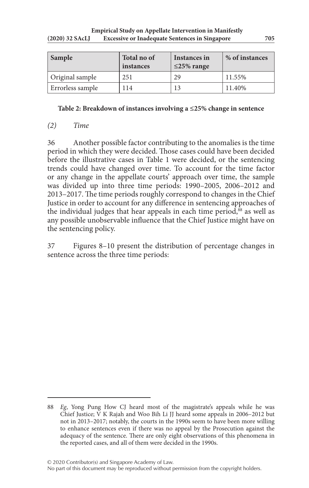| Sample           | Total no of<br>instances | Instances in<br>$\leq$ 25% range | % of instances |
|------------------|--------------------------|----------------------------------|----------------|
| Original sample  | 251                      | 29                               | 11.55%         |
| Errorless sample | 114                      |                                  | 11.40%         |

#### **Table 2: Breakdown of instances involving a ≤25% change in sentence**

### *(2) Time*

36 Another possible factor contributing to the anomalies is the time period in which they were decided. Those cases could have been decided before the illustrative cases in Table 1 were decided, or the sentencing trends could have changed over time. To account for the time factor or any change in the appellate courts' approach over time, the sample was divided up into three time periods: 1990–2005, 2006–2012 and 2013–2017. The time periods roughly correspond to changes in the Chief Justice in order to account for any difference in sentencing approaches of the individual judges that hear appeals in each time period, $88$  as well as any possible unobservable influence that the Chief Justice might have on the sentencing policy.

37 Figures 8–10 present the distribution of percentage changes in sentence across the three time periods:

<sup>88</sup> *Eg*, Yong Pung How CJ heard most of the magistrate's appeals while he was Chief Justice; V K Rajah and Woo Bih Li JJ heard some appeals in 2006–2012 but not in 2013–2017; notably, the courts in the 1990s seem to have been more willing to enhance sentences even if there was no appeal by the Prosecution against the adequacy of the sentence. There are only eight observations of this phenomena in the reported cases, and all of them were decided in the 1990s.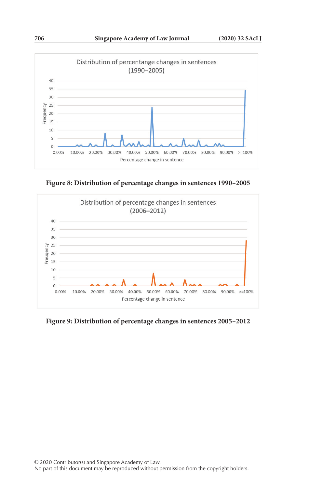

**Figure 8: Distribution of percentage changes in sentences 1990–2005**



**Figure 9: Distribution of percentage changes in sentences 2005–2012**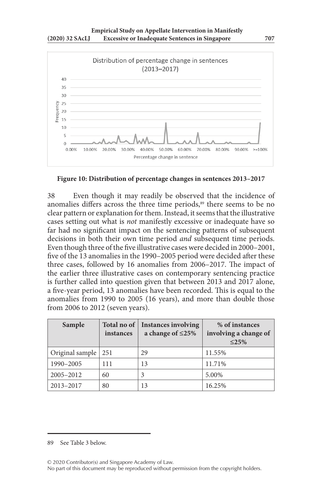

#### **Figure 10: Distribution of percentage changes in sentences 2013–2017**

38 Even though it may readily be observed that the incidence of anomalies differs across the three time periods,<sup>89</sup> there seems to be no clear pattern or explanation for them. Instead, it seems that the illustrative cases setting out what is *not* manifestly excessive or inadequate have so far had no significant impact on the sentencing patterns of subsequent decisions in both their own time period *and* subsequent time periods. Even though three of the five illustrative cases were decided in 2000–2001, five of the 13 anomalies in the 1990–2005 period were decided after these three cases, followed by 16 anomalies from 2006–2017. The impact of the earlier three illustrative cases on contemporary sentencing practice is further called into question given that between 2013 and 2017 alone, a five-year period, 13 anomalies have been recorded. This is equal to the anomalies from 1990 to 2005 (16 years), and more than double those from 2006 to 2012 (seven years).

| Sample          | Total no of<br>instances | <b>Instances involving</b><br>a change of $\leq$ 25% | % of instances<br>involving a change of<br>$\leq$ 25% |
|-----------------|--------------------------|------------------------------------------------------|-------------------------------------------------------|
| Original sample | 251                      | 29                                                   | 11.55%                                                |
| 1990-2005       | 111                      | 13                                                   | 11.71%                                                |
| $2005 - 2012$   | 60                       | 3                                                    | 5.00%                                                 |
| 2013-2017       | 80                       | 13                                                   | 16.25%                                                |

<sup>89</sup> See Table 3 below.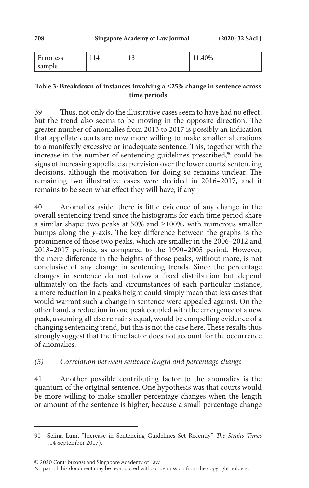| $\blacksquare$<br>Errorless | $\sim$<br>⊥◡ | 11.40% |
|-----------------------------|--------------|--------|
| sample                      |              |        |

#### **Table 3: Breakdown of instances involving a ≤25% change in sentence across time periods**

39 Thus, not only do the illustrative cases seem to have had no effect, but the trend also seems to be moving in the opposite direction. The greater number of anomalies from 2013 to 2017 is possibly an indication that appellate courts are now more willing to make smaller alterations to a manifestly excessive or inadequate sentence. This, together with the increase in the number of sentencing guidelines prescribed,<sup>90</sup> could be signs of increasing appellate supervision over the lower courts' sentencing decisions, although the motivation for doing so remains unclear. The remaining two illustrative cases were decided in 2016–2017, and it remains to be seen what effect they will have, if any.

40 Anomalies aside, there is little evidence of any change in the overall sentencing trend since the histograms for each time period share a similar shape: two peaks at 50% and ≥100%, with numerous smaller bumps along the *y*-axis. The key difference between the graphs is the prominence of those two peaks, which are smaller in the 2006–2012 and 2013–2017 periods, as compared to the 1990–2005 period. However, the mere difference in the heights of those peaks, without more, is not conclusive of any change in sentencing trends. Since the percentage changes in sentence do not follow a fixed distribution but depend ultimately on the facts and circumstances of each particular instance, a mere reduction in a peak's height could simply mean that less cases that would warrant such a change in sentence were appealed against. On the other hand, a reduction in one peak coupled with the emergence of a new peak, assuming all else remains equal, would be compelling evidence of a changing sentencing trend, but this is not the case here. These results thus strongly suggest that the time factor does not account for the occurrence of anomalies.

## *(3) Correlation between sentence length and percentage change*

41 Another possible contributing factor to the anomalies is the quantum of the original sentence. One hypothesis was that courts would be more willing to make smaller percentage changes when the length or amount of the sentence is higher, because a small percentage change

<sup>90</sup> Selina Lum, "Increase in Sentencing Guidelines Set Recently" *The Straits Times* (14 September 2017).

No part of this document may be reproduced without permission from the copyright holders.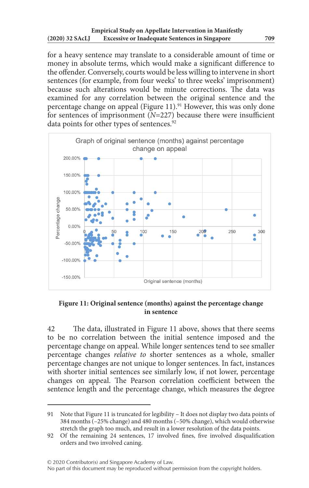for a heavy sentence may translate to a considerable amount of time or money in absolute terms, which would make a significant difference to the offender. Conversely, courts would be less willing to intervene in short sentences (for example, from four weeks' to three weeks' imprisonment) because such alterations would be minute corrections. The data was examined for any correlation between the original sentence and the percentage change on appeal (Figure 11).<sup>91</sup> However, this was only done for sentences of imprisonment  $(N=227)$  because there were insufficient data points for other types of sentences.<sup>92</sup>



**Figure 11: Original sentence (months) against the percentage change in sentence**

42 The data, illustrated in Figure 11 above, shows that there seems to be no correlation between the initial sentence imposed and the percentage change on appeal. While longer sentences tend to see smaller percentage changes *relative to* shorter sentences as a whole, smaller percentage changes are not unique to longer sentences. In fact, instances with shorter initial sentences see similarly low, if not lower, percentage changes on appeal. The Pearson correlation coefficient between the sentence length and the percentage change, which measures the degree

<sup>91</sup> Note that Figure 11 is truncated for legibility – It does not display two data points of 384 months (–25% change) and 480 months (–50% change), which would otherwise stretch the graph too much, and result in a lower resolution of the data points.

<sup>92</sup> Of the remaining 24 sentences, 17 involved fines, five involved disqualification orders and two involved caning.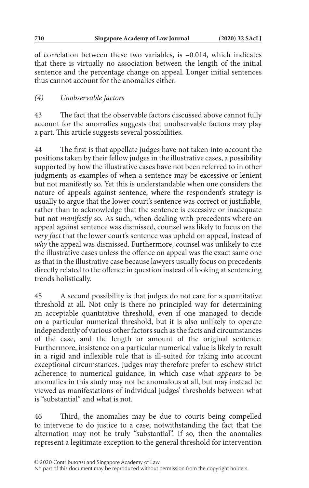of correlation between these two variables, is –0.014, which indicates that there is virtually no association between the length of the initial sentence and the percentage change on appeal. Longer initial sentences thus cannot account for the anomalies either.

## *(4) Unobservable factors*

43 The fact that the observable factors discussed above cannot fully account for the anomalies suggests that unobservable factors may play a part. This article suggests several possibilities.

44 The first is that appellate judges have not taken into account the positions taken by their fellow judges in the illustrative cases, a possibility supported by how the illustrative cases have not been referred to in other judgments as examples of when a sentence may be excessive or lenient but not manifestly so. Yet this is understandable when one considers the nature of appeals against sentence, where the respondent's strategy is usually to argue that the lower court's sentence was correct or justifiable, rather than to acknowledge that the sentence is excessive or inadequate but not *manifestly* so. As such, when dealing with precedents where an appeal against sentence was dismissed, counsel was likely to focus on the *very fact* that the lower court's sentence was upheld on appeal, instead of *why* the appeal was dismissed. Furthermore, counsel was unlikely to cite the illustrative cases unless the offence on appeal was the exact same one as that in the illustrative case because lawyers usually focus on precedents directly related to the offence in question instead of looking at sentencing trends holistically.

45 A second possibility is that judges do not care for a quantitative threshold at all. Not only is there no principled way for determining an acceptable quantitative threshold, even if one managed to decide on a particular numerical threshold, but it is also unlikely to operate independently of various other factors such as the facts and circumstances of the case, and the length or amount of the original sentence. Furthermore, insistence on a particular numerical value is likely to result in a rigid and inflexible rule that is ill-suited for taking into account exceptional circumstances. Judges may therefore prefer to eschew strict adherence to numerical guidance, in which case what *appears* to be anomalies in this study may not be anomalous at all, but may instead be viewed as manifestations of individual judges' thresholds between what is "substantial" and what is not.

46 Third, the anomalies may be due to courts being compelled to intervene to do justice to a case, notwithstanding the fact that the alternation may not be truly "substantial". If so, then the anomalies represent a legitimate exception to the general threshold for intervention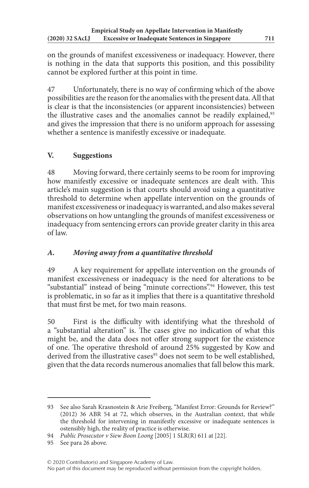on the grounds of manifest excessiveness or inadequacy. However, there is nothing in the data that supports this position, and this possibility cannot be explored further at this point in time.

47 Unfortunately, there is no way of confirming which of the above possibilities are the reason for the anomalies with the present data. All that is clear is that the inconsistencies (or apparent inconsistencies) between the illustrative cases and the anomalies cannot be readily explained,<sup>93</sup> and gives the impression that there is no uniform approach for assessing whether a sentence is manifestly excessive or inadequate.

## **V. Suggestions**

48 Moving forward, there certainly seems to be room for improving how manifestly excessive or inadequate sentences are dealt with. This article's main suggestion is that courts should avoid using a quantitative threshold to determine when appellate intervention on the grounds of manifest excessiveness or inadequacy is warranted, and also makes several observations on how untangling the grounds of manifest excessiveness or inadequacy from sentencing errors can provide greater clarity in this area of law.

## *A. Moving away from a quantitative threshold*

49 A key requirement for appellate intervention on the grounds of manifest excessiveness or inadequacy is the need for alterations to be "substantial" instead of being "minute corrections".<sup>94</sup> However, this test is problematic, in so far as it implies that there is a quantitative threshold that must first be met, for two main reasons.

50 First is the difficulty with identifying what the threshold of a "substantial alteration" is. The cases give no indication of what this might be, and the data does not offer strong support for the existence of one. The operative threshold of around 25% suggested by Kow and derived from the illustrative cases<sup>95</sup> does not seem to be well established, given that the data records numerous anomalies that fall below this mark.

<sup>93</sup> See also Sarah Krasnostein & Arie Freiberg, "Manifest Error: Grounds for Review?" (2012) 36 ABR 54 at 72, which observes, in the Australian context, that while the threshold for intervening in manifestly excessive or inadequate sentences is ostensibly high, the reality of practice is otherwise.

<sup>94</sup> *Public Prosecutor v Siew Boon Loong* [2005] 1 SLR(R) 611 at [22].

<sup>95</sup> See para 26 above.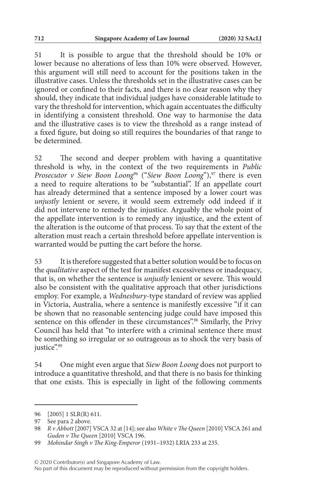51 It is possible to argue that the threshold should be 10% or lower because no alterations of less than 10% were observed. However, this argument will still need to account for the positions taken in the illustrative cases. Unless the thresholds set in the illustrative cases can be ignored or confined to their facts, and there is no clear reason why they should, they indicate that individual judges have considerable latitude to vary the threshold for intervention, which again accentuates the difficulty in identifying a consistent threshold. One way to harmonise the data and the illustrative cases is to view the threshold as a range instead of a fixed figure, but doing so still requires the boundaries of that range to be determined.

52 The second and deeper problem with having a quantitative threshold is why, in the context of the two requirements in *Public Prosecutor v Siew Boon Loong*<sup>96</sup> ("Siew Boon Loong"),<sup>97</sup> there is even a need to require alterations to be "substantial". If an appellate court has already determined that a sentence imposed by a lower court was *unjustly* lenient or severe, it would seem extremely odd indeed if it did not intervene to remedy the injustice. Arguably the whole point of the appellate intervention is to remedy any injustice, and the extent of the alteration is the outcome of that process. To say that the extent of the alteration must reach a certain threshold before appellate intervention is warranted would be putting the cart before the horse.

53 It is therefore suggested that a better solution would be to focus on the *qualitative* aspect of the test for manifest excessiveness or inadequacy, that is, on whether the sentence is *unjustly* lenient or severe. This would also be consistent with the qualitative approach that other jurisdictions employ. For example, a *Wednesbury*-type standard of review was applied in Victoria, Australia, where a sentence is manifestly excessive "if it can be shown that no reasonable sentencing judge could have imposed this sentence on this offender in these circumstances".<sup>98</sup> Similarly, the Privy Council has held that "to interfere with a criminal sentence there must be something so irregular or so outrageous as to shock the very basis of justice".99

54 One might even argue that *Siew Boon Loong* does not purport to introduce a quantitative threshold, and that there is no basis for thinking that one exists. This is especially in light of the following comments

<sup>96</sup> [2005] 1 SLR(R) 611.

<sup>97</sup> See para 2 above.

<sup>98</sup> *R v Abbott* [2007] VSCA 32 at [14]; see also *White v The Queen* [2010] VSCA 261 and *Guden v The Queen* [2010] VSCA 196.

<sup>99</sup> *Mohindar Singh v The King-Emperor* (1931–1932) LRIA 233 at 235.

No part of this document may be reproduced without permission from the copyright holders.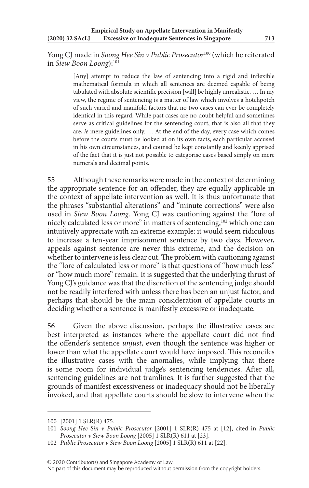Yong CJ made in *Soong Hee Sin v Public Prosecutor*100 (which he reiterated in *Siew Boon Loong*):101

> [Any] attempt to reduce the law of sentencing into a rigid and inflexible mathematical formula in which all sentences are deemed capable of being tabulated with absolute scientific precision [will] be highly unrealistic. … In my view, the regime of sentencing is a matter of law which involves a hotchpotch of such varied and manifold factors that no two cases can ever be completely identical in this regard. While past cases are no doubt helpful and sometimes serve as critical guidelines for the sentencing court, that is also all that they are, *ie* mere guidelines only. … At the end of the day, every case which comes before the courts must be looked at on its own facts, each particular accused in his own circumstances, and counsel be kept constantly and keenly apprised of the fact that it is just not possible to categorise cases based simply on mere numerals and decimal points.

55 Although these remarks were made in the context of determining the appropriate sentence for an offender, they are equally applicable in the context of appellate intervention as well. It is thus unfortunate that the phrases "substantial alterations" and "minute corrections" were also used in *Siew Boon Loong*. Yong CJ was cautioning against the "lore of nicely calculated less or more" in matters of sentencing,102 which one can intuitively appreciate with an extreme example: it would seem ridiculous to increase a ten-year imprisonment sentence by two days. However, appeals against sentence are never this extreme, and the decision on whether to intervene is less clear cut. The problem with cautioning against the "lore of calculated less or more" is that questions of "how much less" or "how much more" remain. It is suggested that the underlying thrust of Yong CJ's guidance was that the discretion of the sentencing judge should not be readily interfered with unless there has been an unjust factor, and perhaps that should be the main consideration of appellate courts in deciding whether a sentence is manifestly excessive or inadequate.

56 Given the above discussion, perhaps the illustrative cases are best interpreted as instances where the appellate court did not find the offender's sentence *unjust*, even though the sentence was higher or lower than what the appellate court would have imposed. This reconciles the illustrative cases with the anomalies, while implying that there is some room for individual judge's sentencing tendencies. After all, sentencing guidelines are not tramlines. It is further suggested that the grounds of manifest excessiveness or inadequacy should not be liberally invoked, and that appellate courts should be slow to intervene when the

<sup>100</sup> [2001] 1 SLR(R) 475.

<sup>101</sup> *Soong Hee Sin v Public Prosecutor* [2001] 1 SLR(R) 475 at [12], cited in *Public Prosecutor v Siew Boon Loong* [2005] 1 SLR(R) 611 at [23].

<sup>102</sup> *Public Prosecutor v Siew Boon Loong* [2005] 1 SLR(R) 611 at [22].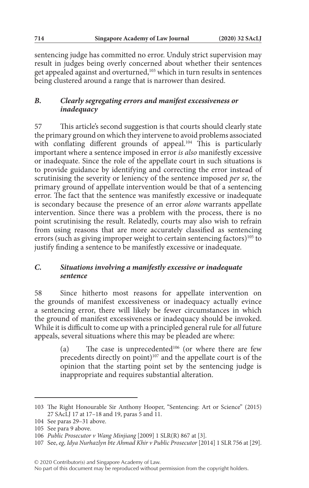sentencing judge has committed no error. Unduly strict supervision may result in judges being overly concerned about whether their sentences get appealed against and overturned,<sup>103</sup> which in turn results in sentences being clustered around a range that is narrower than desired.

## *B. Clearly segregating errors and manifest excessiveness or inadequacy*

57 This article's second suggestion is that courts should clearly state the primary ground on which they intervene to avoid problems associated with conflating different grounds of appeal.<sup>104</sup> This is particularly important where a sentence imposed in error *is also* manifestly excessive or inadequate. Since the role of the appellate court in such situations is to provide guidance by identifying and correcting the error instead of scrutinising the severity or leniency of the sentence imposed *per se*, the primary ground of appellate intervention would be that of a sentencing error. The fact that the sentence was manifestly excessive or inadequate is secondary because the presence of an error *alone* warrants appellate intervention. Since there was a problem with the process, there is no point scrutinising the result. Relatedly, courts may also wish to refrain from using reasons that are more accurately classified as sentencing errors (such as giving improper weight to certain sentencing factors)<sup>105</sup> to justify finding a sentence to be manifestly excessive or inadequate.

### *C. Situations involving a manifestly excessive or inadequate sentence*

58 Since hitherto most reasons for appellate intervention on the grounds of manifest excessiveness or inadequacy actually evince a sentencing error, there will likely be fewer circumstances in which the ground of manifest excessiveness or inadequacy should be invoked. While it is difficult to come up with a principled general rule for *all* future appeals, several situations where this may be pleaded are where:

> (a) The case is unprecedented<sup>106</sup> (or where there are few precedents directly on point) $107$  and the appellate court is of the opinion that the starting point set by the sentencing judge is inappropriate and requires substantial alteration.

<sup>103</sup> The Right Honourable Sir Anthony Hooper, "Sentencing: Art or Science" (2015) 27 SAcLJ 17 at 17–18 and 19, paras 5 and 11.

<sup>104</sup> See paras 29–31 above.

<sup>105</sup> See para 9 above.

<sup>106</sup> *Public Prosecutor v Wang Minjiang* [2009] 1 SLR(R) 867 at [3].

<sup>107</sup> See, *eg*, *Idya Nurhazlyn bte Ahmad Khir v Public Prosecutor* [2014] 1 SLR 756 at [29].

No part of this document may be reproduced without permission from the copyright holders.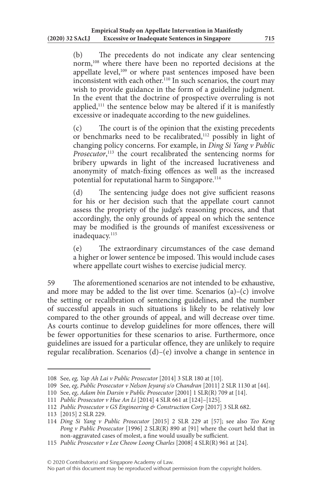(b) The precedents do not indicate any clear sentencing norm,108 where there have been no reported decisions at the appellate level,<sup>109</sup> or where past sentences imposed have been inconsistent with each other.<sup>110</sup> In such scenarios, the court may wish to provide guidance in the form of a guideline judgment. In the event that the doctrine of prospective overruling is not applied,<sup>111</sup> the sentence below may be altered if it is manifestly excessive or inadequate according to the new guidelines.

(c) The court is of the opinion that the existing precedents or benchmarks need to be recalibrated, $112$  possibly in light of changing policy concerns. For example, in *Ding Si Yang v Public Prosecutor*, 113 the court recalibrated the sentencing norms for bribery upwards in light of the increased lucrativeness and anonymity of match-fixing offences as well as the increased potential for reputational harm to Singapore.<sup>114</sup>

(d) The sentencing judge does not give sufficient reasons for his or her decision such that the appellate court cannot assess the propriety of the judge's reasoning process, and that accordingly, the only grounds of appeal on which the sentence may be modified is the grounds of manifest excessiveness or inadequacy.<sup>115</sup>

(e) The extraordinary circumstances of the case demand a higher or lower sentence be imposed. This would include cases where appellate court wishes to exercise judicial mercy.

59 The aforementioned scenarios are not intended to be exhaustive, and more may be added to the list over time. Scenarios  $(a)$ – $(c)$  involve the setting or recalibration of sentencing guidelines, and the number of successful appeals in such situations is likely to be relatively low compared to the other grounds of appeal, and will decrease over time. As courts continue to develop guidelines for more offences, there will be fewer opportunities for these scenarios to arise. Furthermore, once guidelines are issued for a particular offence, they are unlikely to require regular recalibration. Scenarios (d)–(e) involve a change in sentence in

<sup>108</sup> See, *eg, Yap Ah Lai v Public Prosecutor* [2014] 3 SLR 180 at [10].

<sup>109</sup> See, *eg*, *Public Prosecutor v Nelson Jeyaraj s/o Chandran* [2011] 2 SLR 1130 at [44].

<sup>110</sup> See, *eg*, *Adam bin Darsin v Public Prosecutor* [2001] 1 SLR(R) 709 at [14].

<sup>111</sup> *Public Prosecutor v Hue An Li* [2014] 4 SLR 661 at [124]–[125].

<sup>112</sup> *Public Prosecutor v GS Engineering & Construction Corp* [2017] 3 SLR 682.

<sup>113</sup> [2015] 2 SLR 229.

<sup>114</sup> *Ding Si Yang v Public Prosecutor* [2015] 2 SLR 229 at [57]; see also *Teo Keng Pong v Public Prosecutor* [1996] 2 SLR(R) 890 at [91] where the court held that in non-aggravated cases of molest, a fine would usually be sufficient.

<sup>115</sup> *Public Prosecutor v Lee Cheow Loong Charles* [2008] 4 SLR(R) 961 at [24].

No part of this document may be reproduced without permission from the copyright holders.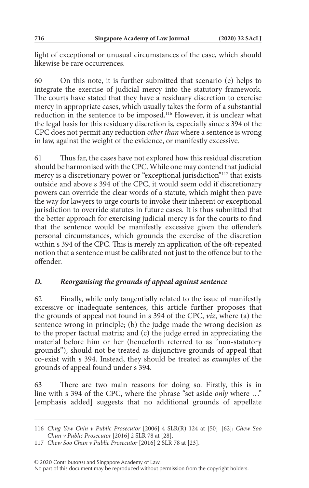light of exceptional or unusual circumstances of the case, which should likewise be rare occurrences.

60 On this note, it is further submitted that scenario (e) helps to integrate the exercise of judicial mercy into the statutory framework. The courts have stated that they have a residuary discretion to exercise mercy in appropriate cases, which usually takes the form of a substantial reduction in the sentence to be imposed.116 However, it is unclear what the legal basis for this residuary discretion is, especially since s 394 of the CPC does not permit any reduction *other than* where a sentence is wrong in law, against the weight of the evidence, or manifestly excessive.

61 Thus far, the cases have not explored how this residual discretion should be harmonised with the CPC. While one may contend that judicial mercy is a discretionary power or "exceptional jurisdiction"117 that exists outside and above s 394 of the CPC, it would seem odd if discretionary powers can override the clear words of a statute, which might then pave the way for lawyers to urge courts to invoke their inherent or exceptional jurisdiction to override statutes in future cases. It is thus submitted that the better approach for exercising judicial mercy is for the courts to find that the sentence would be manifestly excessive given the offender's personal circumstances, which grounds the exercise of the discretion within s 394 of the CPC. This is merely an application of the oft-repeated notion that a sentence must be calibrated not just to the offence but to the offender.

### *D. Reorganising the grounds of appeal against sentence*

62 Finally, while only tangentially related to the issue of manifestly excessive or inadequate sentences, this article further proposes that the grounds of appeal not found in s 394 of the CPC, *viz*, where (a) the sentence wrong in principle; (b) the judge made the wrong decision as to the proper factual matrix; and (c) the judge erred in appreciating the material before him or her (henceforth referred to as "non-statutory grounds"), should not be treated as disjunctive grounds of appeal that co-exist with s 394. Instead, they should be treated as *examples* of the grounds of appeal found under s 394.

63 There are two main reasons for doing so. Firstly, this is in line with s 394 of the CPC, where the phrase "set aside *only* where …" [emphasis added] suggests that no additional grounds of appellate

<sup>116</sup> *Chng Yew Chin v Public Prosecutor* [2006] 4 SLR(R) 124 at [50]–[62]; *Chew Soo Chun v Public Prosecutor* [2016] 2 SLR 78 at [28].

<sup>117</sup> *Chew Soo Chun v Public Prosecutor* [2016] 2 SLR 78 at [23].

No part of this document may be reproduced without permission from the copyright holders.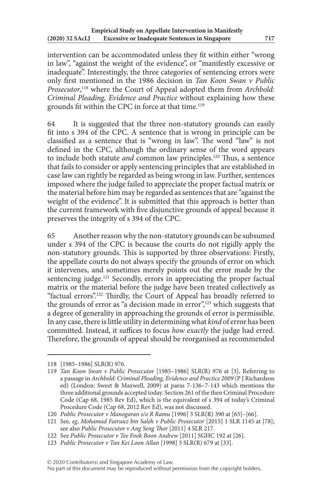intervention can be accommodated unless they fit within either "wrong in law", "against the weight of the evidence", or "manifestly excessive or inadequate". Interestingly, the three categories of sentencing errors were only first mentioned in the 1986 decision in *Tan Koon Swan v Public Prosecutor*, 118 where the Court of Appeal adopted them from *Archbold: Criminal Pleading, Evidence and Practice* without explaining how these grounds fit within the CPC in force at that time.<sup>119</sup>

64 It is suggested that the three non-statutory grounds can easily fit into s 394 of the CPC. A sentence that is wrong in principle can be classified as a sentence that is "wrong in law". The word "law" is not defined in the CPC, although the ordinary sense of the word appears to include both statute *and* common law principles.120 Thus, a sentence that fails to consider or apply sentencing principles that are established in case law can rightly be regarded as being wrong in law. Further, sentences imposed where the judge failed to appreciate the proper factual matrix or the material before him may be regarded as sentences that are "against the weight of the evidence". It is submitted that this approach is better than the current framework with five disjunctive grounds of appeal because it preserves the integrity of s 394 of the CPC.

65 Another reason why the non-statutory grounds can be subsumed under s 394 of the CPC is because the courts do not rigidly apply the non-statutory grounds. This is supported by three observations: Firstly, the appellate courts do not always specify the grounds of error on which it intervenes, and sometimes merely points out the error made by the sentencing judge.<sup>121</sup> Secondly, errors in appreciating the proper factual matrix or the material before the judge have been treated collectively as "factual errors".122 Thirdly, the Court of Appeal has broadly referred to the grounds of error as "a decision made in error",<sup>123</sup> which suggests that a degree of generality in approaching the grounds of error is permissible. In any case, there is little utility in determining what *kind* of error has been committed. Instead, it suffices to focus *how exactly* the judge had erred. Therefore, the grounds of appeal should be reorganised as recommended

<sup>118</sup> [1985–1986] SLR(R) 976.

<sup>119</sup> *Tan Koon Swan v Public Prosecutor* [1985–1986] SLR(R) 976 at [3], Referring to a passage in *Archbold: Criminal Pleading, Evidence and Practice 2009* (P J Richardson ed) (London: Sweet & Maxwell, 2009) at paras 7-136–7-143 which mentions the three additional grounds accepted today. Section 261 of the then Criminal Procedure Code (Cap 68, 1985 Rev Ed), which is the equivalent of s 394 of today's Criminal Procedure Code (Cap 68, 2012 Rev Ed), was not discussed.

<sup>120</sup> *Public Prosecutor v Manogaran s/o R Ramu* [1996] 3 SLR(R) 390 at [65]–[66].

<sup>121</sup> See, *eg*, *Mohamad Fairuuz bin Saleh v Public Prosecutor* [2015] 1 SLR 1145 at [78]; see also *Public Prosecutor v Ang Seng Thor* [2011] 4 SLR 217.

<sup>122</sup> See *Public Prosecutor v Tee Fook Boon Andrew* [2011] SGHC 192 at [26].

<sup>123</sup> *Public Prosecutor v Tan Kei Loon Allan* [1998] 3 SLR(R) 679 at [33].

No part of this document may be reproduced without permission from the copyright holders.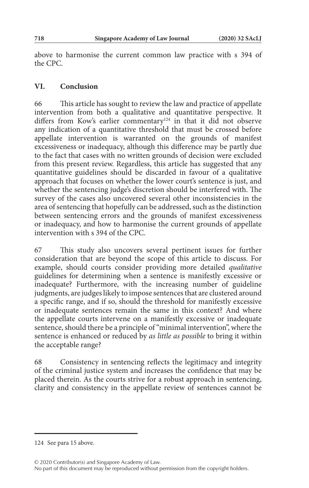above to harmonise the current common law practice with s 394 of the CPC.

## **VI. Conclusion**

66 This article has sought to review the law and practice of appellate intervention from both a qualitative and quantitative perspective. It differs from Kow's earlier commentary<sup>124</sup> in that it did not observe any indication of a quantitative threshold that must be crossed before appellate intervention is warranted on the grounds of manifest excessiveness or inadequacy, although this difference may be partly due to the fact that cases with no written grounds of decision were excluded from this present review. Regardless, this article has suggested that any quantitative guidelines should be discarded in favour of a qualitative approach that focuses on whether the lower court's sentence is just, and whether the sentencing judge's discretion should be interfered with. The survey of the cases also uncovered several other inconsistencies in the area of sentencing that hopefully can be addressed, such as the distinction between sentencing errors and the grounds of manifest excessiveness or inadequacy, and how to harmonise the current grounds of appellate intervention with s 394 of the CPC.

67 This study also uncovers several pertinent issues for further consideration that are beyond the scope of this article to discuss. For example, should courts consider providing more detailed *qualitative* guidelines for determining when a sentence is manifestly excessive or inadequate? Furthermore, with the increasing number of guideline judgments, are judges likely to impose sentences that are clustered around a specific range, and if so, should the threshold for manifestly excessive or inadequate sentences remain the same in this context? And where the appellate courts intervene on a manifestly excessive or inadequate sentence, should there be a principle of "minimal intervention", where the sentence is enhanced or reduced by *as little as possible* to bring it within the acceptable range?

68 Consistency in sentencing reflects the legitimacy and integrity of the criminal justice system and increases the confidence that may be placed therein. As the courts strive for a robust approach in sentencing, clarity and consistency in the appellate review of sentences cannot be

<sup>124</sup> See para 15 above.

<sup>© 2020</sup> Contributor(s) and Singapore Academy of Law.

No part of this document may be reproduced without permission from the copyright holders.